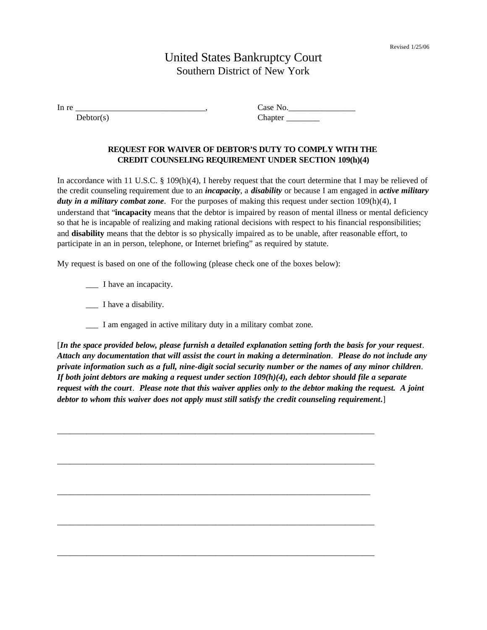## United States Bankruptcy Court Southern District of New York

| ln r<br>---<br>__<br>__ |   |
|-------------------------|---|
| . .<br>.                | . |

## **REQUEST FOR WAIVER OF DEBTOR'S DUTY TO COMPLY WITH THE CREDIT COUNSELING REQUIREMENT UNDER SECTION 109(h)(4)**

In accordance with 11 U.S.C. § 109(h)(4), I hereby request that the court determine that I may be relieved of the credit counseling requirement due to an *incapacity*, a *disability* or because I am engaged in *active military duty in a military combat zone*. For the purposes of making this request under section 109(h)(4), I understand that "**incapacity** means that the debtor is impaired by reason of mental illness or mental deficiency so that he is incapable of realizing and making rational decisions with respect to his financial responsibilities; and **disability** means that the debtor is so physically impaired as to be unable, after reasonable effort, to participate in an in person, telephone, or Internet briefing" as required by statute.

My request is based on one of the following (please check one of the boxes below):

- \_\_\_ I have an incapacity.
- \_\_\_ I have a disability.
- I am engaged in active military duty in a military combat zone.

 $\mathcal{L}_\mathcal{L} = \{ \mathcal{L}_\mathcal{L} = \{ \mathcal{L}_\mathcal{L} = \{ \mathcal{L}_\mathcal{L} = \{ \mathcal{L}_\mathcal{L} = \{ \mathcal{L}_\mathcal{L} = \{ \mathcal{L}_\mathcal{L} = \{ \mathcal{L}_\mathcal{L} = \{ \mathcal{L}_\mathcal{L} = \{ \mathcal{L}_\mathcal{L} = \{ \mathcal{L}_\mathcal{L} = \{ \mathcal{L}_\mathcal{L} = \{ \mathcal{L}_\mathcal{L} = \{ \mathcal{L}_\mathcal{L} = \{ \mathcal{L}_\mathcal{$ 

 $\mathcal{L}_\mathcal{L} = \{ \mathcal{L}_\mathcal{L} = \{ \mathcal{L}_\mathcal{L} = \{ \mathcal{L}_\mathcal{L} = \{ \mathcal{L}_\mathcal{L} = \{ \mathcal{L}_\mathcal{L} = \{ \mathcal{L}_\mathcal{L} = \{ \mathcal{L}_\mathcal{L} = \{ \mathcal{L}_\mathcal{L} = \{ \mathcal{L}_\mathcal{L} = \{ \mathcal{L}_\mathcal{L} = \{ \mathcal{L}_\mathcal{L} = \{ \mathcal{L}_\mathcal{L} = \{ \mathcal{L}_\mathcal{L} = \{ \mathcal{L}_\mathcal{$ 

\_\_\_\_\_\_\_\_\_\_\_\_\_\_\_\_\_\_\_\_\_\_\_\_\_\_\_\_\_\_\_\_\_\_\_\_\_\_\_\_\_\_\_\_\_\_\_\_\_\_\_\_\_\_\_\_\_\_\_\_\_\_\_\_\_\_\_\_\_\_\_\_\_\_\_

 $\mathcal{L}_\mathcal{L} = \{ \mathcal{L}_\mathcal{L} = \{ \mathcal{L}_\mathcal{L} = \{ \mathcal{L}_\mathcal{L} = \{ \mathcal{L}_\mathcal{L} = \{ \mathcal{L}_\mathcal{L} = \{ \mathcal{L}_\mathcal{L} = \{ \mathcal{L}_\mathcal{L} = \{ \mathcal{L}_\mathcal{L} = \{ \mathcal{L}_\mathcal{L} = \{ \mathcal{L}_\mathcal{L} = \{ \mathcal{L}_\mathcal{L} = \{ \mathcal{L}_\mathcal{L} = \{ \mathcal{L}_\mathcal{L} = \{ \mathcal{L}_\mathcal{$ 

 $\mathcal{L}_\mathcal{L} = \{ \mathcal{L}_\mathcal{L} = \{ \mathcal{L}_\mathcal{L} = \{ \mathcal{L}_\mathcal{L} = \{ \mathcal{L}_\mathcal{L} = \{ \mathcal{L}_\mathcal{L} = \{ \mathcal{L}_\mathcal{L} = \{ \mathcal{L}_\mathcal{L} = \{ \mathcal{L}_\mathcal{L} = \{ \mathcal{L}_\mathcal{L} = \{ \mathcal{L}_\mathcal{L} = \{ \mathcal{L}_\mathcal{L} = \{ \mathcal{L}_\mathcal{L} = \{ \mathcal{L}_\mathcal{L} = \{ \mathcal{L}_\mathcal{$ 

[*In the space provided below, please furnish a detailed explanation setting forth the basis for your request*. *Attach any documentation that will assist the court in making a determination*. *Please do not include any private information such as a full, nine-digit social security number or the names of any minor children*. *If both joint debtors are making a request under section 109(h)(4), each debtor should file a separate request with the court*. *Please note that this waiver applies only to the debtor making the request. A joint debtor to whom this waiver does not apply must still satisfy the credit counseling requirement***.**]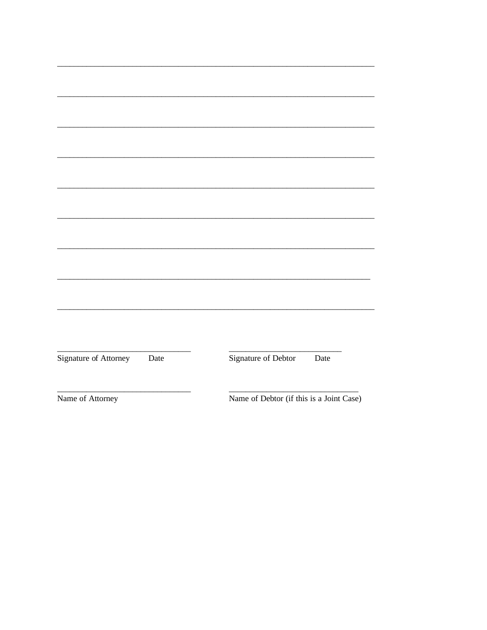| Signature of Attorney | Date | Signature of Debtor                      | Date |  |
|-----------------------|------|------------------------------------------|------|--|
|                       |      |                                          |      |  |
|                       |      |                                          |      |  |
|                       |      | Name of Debtor (if this is a Joint Case) |      |  |
| Name of Attorney      |      |                                          |      |  |